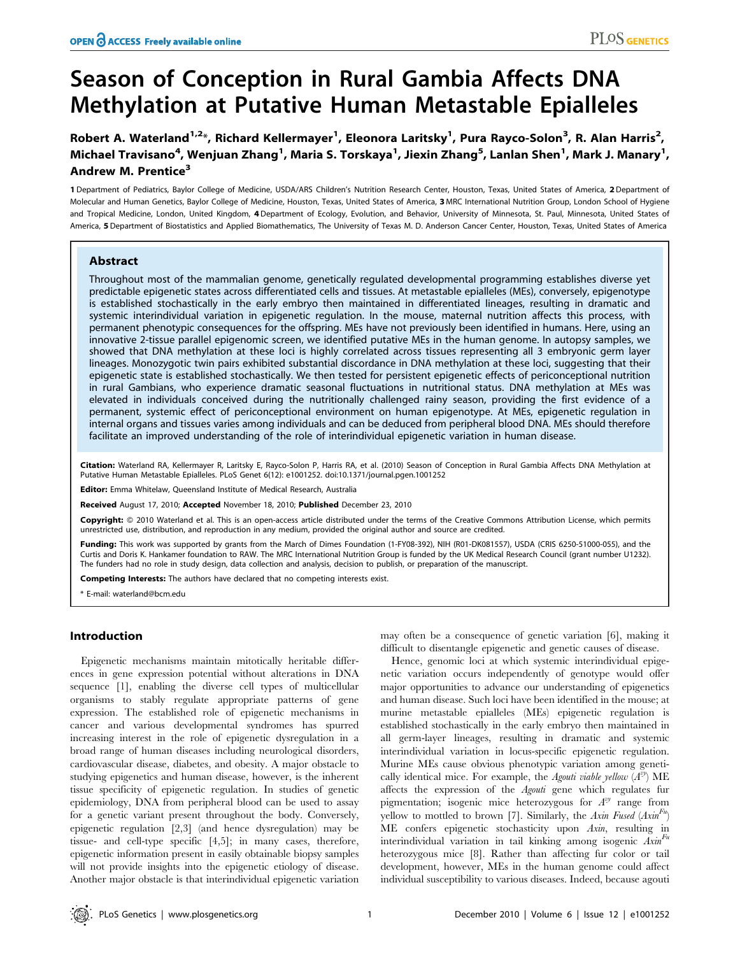# Season of Conception in Rural Gambia Affects DNA Methylation at Putative Human Metastable Epialleles

Robert A. Waterland<sup>1,2</sup>\*, Richard Kellermayer<sup>1</sup>, Eleonora Laritsky<sup>1</sup>, Pura Rayco-Solon<sup>3</sup>, R. Alan Harris<sup>2</sup>, Michael Travisano<sup>4</sup>, Wenjuan Zhang<sup>1</sup>, Maria S. Torskaya<sup>1</sup>, Jiexin Zhang<sup>5</sup>, Lanlan Shen<sup>1</sup>, Mark J. Manary<sup>1</sup>, Andrew M. Prentice<sup>3</sup>

1 Department of Pediatrics, Baylor College of Medicine, USDA/ARS Children's Nutrition Research Center, Houston, Texas, United States of America, 2 Department of Molecular and Human Genetics, Baylor College of Medicine, Houston, Texas, United States of America, 3 MRC International Nutrition Group, London School of Hygiene and Tropical Medicine, London, United Kingdom, 4 Department of Ecology, Evolution, and Behavior, University of Minnesota, St. Paul, Minnesota, United States of America, 5 Department of Biostatistics and Applied Biomathematics, The University of Texas M. D. Anderson Cancer Center, Houston, Texas, United States of America

# Abstract

Throughout most of the mammalian genome, genetically regulated developmental programming establishes diverse yet predictable epigenetic states across differentiated cells and tissues. At metastable epialleles (MEs), conversely, epigenotype is established stochastically in the early embryo then maintained in differentiated lineages, resulting in dramatic and systemic interindividual variation in epigenetic regulation. In the mouse, maternal nutrition affects this process, with permanent phenotypic consequences for the offspring. MEs have not previously been identified in humans. Here, using an innovative 2-tissue parallel epigenomic screen, we identified putative MEs in the human genome. In autopsy samples, we showed that DNA methylation at these loci is highly correlated across tissues representing all 3 embryonic germ layer lineages. Monozygotic twin pairs exhibited substantial discordance in DNA methylation at these loci, suggesting that their epigenetic state is established stochastically. We then tested for persistent epigenetic effects of periconceptional nutrition in rural Gambians, who experience dramatic seasonal fluctuations in nutritional status. DNA methylation at MEs was elevated in individuals conceived during the nutritionally challenged rainy season, providing the first evidence of a permanent, systemic effect of periconceptional environment on human epigenotype. At MEs, epigenetic regulation in internal organs and tissues varies among individuals and can be deduced from peripheral blood DNA. MEs should therefore facilitate an improved understanding of the role of interindividual epigenetic variation in human disease.

Citation: Waterland RA, Kellermayer R, Laritsky E, Rayco-Solon P, Harris RA, et al. (2010) Season of Conception in Rural Gambia Affects DNA Methylation at Putative Human Metastable Epialleles. PLoS Genet 6(12): e1001252. doi:10.1371/journal.pgen.1001252

Editor: Emma Whitelaw, Queensland Institute of Medical Research, Australia

Received August 17, 2010; Accepted November 18, 2010; Published December 23, 2010

Copyright: © 2010 Waterland et al. This is an open-access article distributed under the terms of the Creative Commons Attribution License, which permits unrestricted use, distribution, and reproduction in any medium, provided the original author and source are credited.

Funding: This work was supported by grants from the March of Dimes Foundation (1-FY08-392), NIH (R01-DK081557), USDA (CRIS 6250-51000-055), and the Curtis and Doris K. Hankamer foundation to RAW. The MRC International Nutrition Group is funded by the UK Medical Research Council (grant number U1232). The funders had no role in study design, data collection and analysis, decision to publish, or preparation of the manuscript.

Competing Interests: The authors have declared that no competing interests exist.

\* E-mail: waterland@bcm.edu

# Introduction

Epigenetic mechanisms maintain mitotically heritable differences in gene expression potential without alterations in DNA sequence [1], enabling the diverse cell types of multicellular organisms to stably regulate appropriate patterns of gene expression. The established role of epigenetic mechanisms in cancer and various developmental syndromes has spurred increasing interest in the role of epigenetic dysregulation in a broad range of human diseases including neurological disorders, cardiovascular disease, diabetes, and obesity. A major obstacle to studying epigenetics and human disease, however, is the inherent tissue specificity of epigenetic regulation. In studies of genetic epidemiology, DNA from peripheral blood can be used to assay for a genetic variant present throughout the body. Conversely, epigenetic regulation [2,3] (and hence dysregulation) may be tissue- and cell-type specific [4,5]; in many cases, therefore, epigenetic information present in easily obtainable biopsy samples will not provide insights into the epigenetic etiology of disease. Another major obstacle is that interindividual epigenetic variation

may often be a consequence of genetic variation [6], making it difficult to disentangle epigenetic and genetic causes of disease.

Hence, genomic loci at which systemic interindividual epigenetic variation occurs independently of genotype would offer major opportunities to advance our understanding of epigenetics and human disease. Such loci have been identified in the mouse; at murine metastable epialleles (MEs) epigenetic regulation is established stochastically in the early embryo then maintained in all germ-layer lineages, resulting in dramatic and systemic interindividual variation in locus-specific epigenetic regulation. Murine MEs cause obvious phenotypic variation among genetically identical mice. For example, the Agouti viable yellow  $(A^{v})$  ME affects the expression of the Agouti gene which regulates fur pigmentation; isogenic mice heterozygous for  $A^{\nu\nu}$  range from yellow to mottled to brown [7]. Similarly, the Axin Fused  $(Axin^{F_u})$ ME confers epigenetic stochasticity upon Axin, resulting in interindividual variation in tail kinking among isogenic  $A x in <sup>Fu</sup>$ heterozygous mice [8]. Rather than affecting fur color or tail development, however, MEs in the human genome could affect individual susceptibility to various diseases. Indeed, because agouti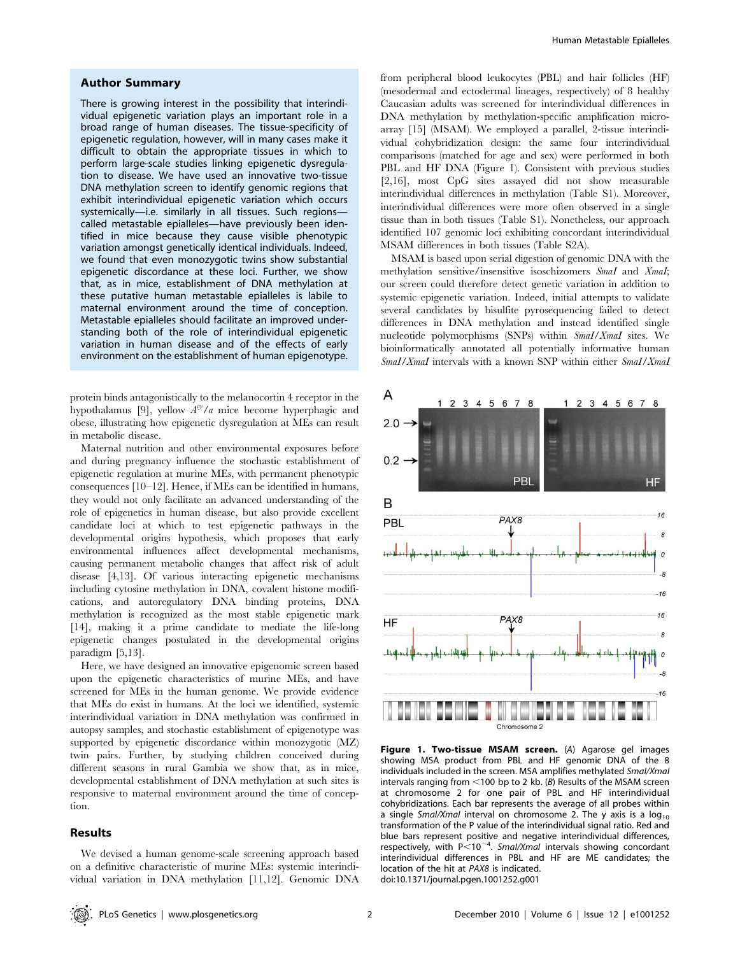#### Author Summary

There is growing interest in the possibility that interindividual epigenetic variation plays an important role in a broad range of human diseases. The tissue-specificity of epigenetic regulation, however, will in many cases make it difficult to obtain the appropriate tissues in which to perform large-scale studies linking epigenetic dysregulation to disease. We have used an innovative two-tissue DNA methylation screen to identify genomic regions that exhibit interindividual epigenetic variation which occurs systemically—i.e. similarly in all tissues. Such regions called metastable epialleles—have previously been identified in mice because they cause visible phenotypic variation amongst genetically identical individuals. Indeed, we found that even monozygotic twins show substantial epigenetic discordance at these loci. Further, we show that, as in mice, establishment of DNA methylation at these putative human metastable epialleles is labile to maternal environment around the time of conception. Metastable epialleles should facilitate an improved understanding both of the role of interindividual epigenetic variation in human disease and of the effects of early environment on the establishment of human epigenotype.

protein binds antagonistically to the melanocortin 4 receptor in the hypothalamus [9], yellow  $A^{\nu\nu}/a$  mice become hyperphagic and obese, illustrating how epigenetic dysregulation at MEs can result in metabolic disease.

Maternal nutrition and other environmental exposures before and during pregnancy influence the stochastic establishment of epigenetic regulation at murine MEs, with permanent phenotypic consequences [10–12]. Hence, if MEs can be identified in humans, they would not only facilitate an advanced understanding of the role of epigenetics in human disease, but also provide excellent candidate loci at which to test epigenetic pathways in the developmental origins hypothesis, which proposes that early environmental influences affect developmental mechanisms, causing permanent metabolic changes that affect risk of adult disease [4,13]. Of various interacting epigenetic mechanisms including cytosine methylation in DNA, covalent histone modifications, and autoregulatory DNA binding proteins, DNA methylation is recognized as the most stable epigenetic mark [14], making it a prime candidate to mediate the life-long epigenetic changes postulated in the developmental origins paradigm [5,13].

Here, we have designed an innovative epigenomic screen based upon the epigenetic characteristics of murine MEs, and have screened for MEs in the human genome. We provide evidence that MEs do exist in humans. At the loci we identified, systemic interindividual variation in DNA methylation was confirmed in autopsy samples, and stochastic establishment of epigenotype was supported by epigenetic discordance within monozygotic (MZ) twin pairs. Further, by studying children conceived during different seasons in rural Gambia we show that, as in mice, developmental establishment of DNA methylation at such sites is responsive to maternal environment around the time of conception.

#### Results

We devised a human genome-scale screening approach based on a definitive characteristic of murine MEs: systemic interindividual variation in DNA methylation [11,12]. Genomic DNA from peripheral blood leukocytes (PBL) and hair follicles (HF) (mesodermal and ectodermal lineages, respectively) of 8 healthy Caucasian adults was screened for interindividual differences in DNA methylation by methylation-specific amplification microarray [15] (MSAM). We employed a parallel, 2-tissue interindividual cohybridization design: the same four interindividual comparisons (matched for age and sex) were performed in both PBL and HF DNA (Figure 1). Consistent with previous studies [2,16], most CpG sites assayed did not show measurable interindividual differences in methylation (Table S1). Moreover, interindividual differences were more often observed in a single tissue than in both tissues (Table S1). Nonetheless, our approach identified 107 genomic loci exhibiting concordant interindividual MSAM differences in both tissues (Table S2A).

MSAM is based upon serial digestion of genomic DNA with the methylation sensitive/insensitive isoschizomers SmaI and XmaI; our screen could therefore detect genetic variation in addition to systemic epigenetic variation. Indeed, initial attempts to validate several candidates by bisulfite pyrosequencing failed to detect differences in DNA methylation and instead identified single nucleotide polymorphisms (SNPs) within SmaI/XmaI sites. We bioinformatically annotated all potentially informative human SmaI/XmaI intervals with a known SNP within either SmaI/XmaI



Figure 1. Two-tissue MSAM screen. (A) Agarose gel images showing MSA product from PBL and HF genomic DNA of the 8 individuals included in the screen. MSA amplifies methylated SmaI/XmaI intervals ranging from  $<$ 100 bp to 2 kb. (B) Results of the MSAM screen at chromosome 2 for one pair of PBL and HF interindividual cohybridizations. Each bar represents the average of all probes within a single Smal/Xmal interval on chromosome 2. The y axis is a  $log_{10}$ transformation of the P value of the interindividual signal ratio. Red and blue bars represent positive and negative interindividual differences, respectively, with  $P<10^{-4}$ . Smal/Xmal intervals showing concordant interindividual differences in PBL and HF are ME candidates; the location of the hit at PAX8 is indicated. doi:10.1371/journal.pgen.1001252.g001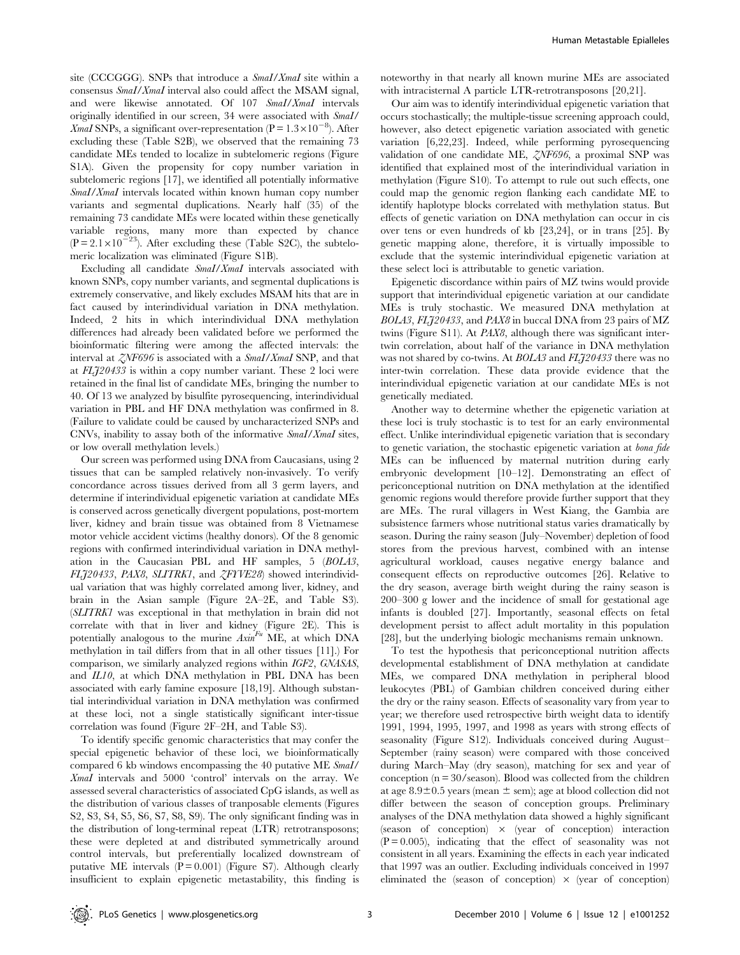site (CCCGGG). SNPs that introduce a SmaI/XmaI site within a consensus SmaI/XmaI interval also could affect the MSAM signal, and were likewise annotated. Of 107 SmaI/XmaI intervals originally identified in our screen, 34 were associated with SmaI/ *XmaI* SNPs, a significant over-representation ( $P = 1.3 \times 10^{-8}$ ). After excluding these (Table S2B), we observed that the remaining 73 candidate MEs tended to localize in subtelomeric regions (Figure S1A). Given the propensity for copy number variation in subtelomeric regions [17], we identified all potentially informative SmaI/XmaI intervals located within known human copy number variants and segmental duplications. Nearly half (35) of the remaining 73 candidate MEs were located within these genetically variable regions, many more than expected by chance  $(P = 2.1 \times 10^{-23})$ . After excluding these (Table S2C), the subtelomeric localization was eliminated (Figure S1B).

Excluding all candidate SmaI/XmaI intervals associated with known SNPs, copy number variants, and segmental duplications is extremely conservative, and likely excludes MSAM hits that are in fact caused by interindividual variation in DNA methylation. Indeed, 2 hits in which interindividual DNA methylation differences had already been validated before we performed the bioinformatic filtering were among the affected intervals: the interval at ZNF696 is associated with a SmaI/XmaI SNP, and that at  $FLJ20433$  is within a copy number variant. These 2 loci were retained in the final list of candidate MEs, bringing the number to 40. Of 13 we analyzed by bisulfite pyrosequencing, interindividual variation in PBL and HF DNA methylation was confirmed in 8. (Failure to validate could be caused by uncharacterized SNPs and CNVs, inability to assay both of the informative SmaI/XmaI sites, or low overall methylation levels.)

Our screen was performed using DNA from Caucasians, using 2 tissues that can be sampled relatively non-invasively. To verify concordance across tissues derived from all 3 germ layers, and determine if interindividual epigenetic variation at candidate MEs is conserved across genetically divergent populations, post-mortem liver, kidney and brain tissue was obtained from 8 Vietnamese motor vehicle accident victims (healthy donors). Of the 8 genomic regions with confirmed interindividual variation in DNA methylation in the Caucasian PBL and HF samples, 5 (BOLA3, FLJ20433, PAX8, SLITRK1, and ZFYVE28) showed interindividual variation that was highly correlated among liver, kidney, and brain in the Asian sample (Figure 2A–2E, and Table S3). (SLITRK1 was exceptional in that methylation in brain did not correlate with that in liver and kidney (Figure 2E). This is potentially analogous to the murine  $Axin^{Fu}$  ME, at which DNA methylation in tail differs from that in all other tissues [11].) For comparison, we similarly analyzed regions within IGF2, GNASAS, and IL10, at which DNA methylation in PBL DNA has been associated with early famine exposure [18,19]. Although substantial interindividual variation in DNA methylation was confirmed at these loci, not a single statistically significant inter-tissue correlation was found (Figure 2F–2H, and Table S3).

To identify specific genomic characteristics that may confer the special epigenetic behavior of these loci, we bioinformatically compared 6 kb windows encompassing the 40 putative ME SmaI/ XmaI intervals and 5000 'control' intervals on the array. We assessed several characteristics of associated CpG islands, as well as the distribution of various classes of tranposable elements (Figures S2, S3, S4, S5, S6, S7, S8, S9). The only significant finding was in the distribution of long-terminal repeat (LTR) retrotransposons; these were depleted at and distributed symmetrically around control intervals, but preferentially localized downstream of putative ME intervals  $(P = 0.001)$  (Figure S7). Although clearly insufficient to explain epigenetic metastability, this finding is

noteworthy in that nearly all known murine MEs are associated with intracisternal A particle LTR-retrotransposons [20,21].

Our aim was to identify interindividual epigenetic variation that occurs stochastically; the multiple-tissue screening approach could, however, also detect epigenetic variation associated with genetic variation [6,22,23]. Indeed, while performing pyrosequencing validation of one candidate ME, ZNF696, a proximal SNP was identified that explained most of the interindividual variation in methylation (Figure S10). To attempt to rule out such effects, one could map the genomic region flanking each candidate ME to identify haplotype blocks correlated with methylation status. But effects of genetic variation on DNA methylation can occur in cis over tens or even hundreds of kb [23,24], or in trans [25]. By genetic mapping alone, therefore, it is virtually impossible to exclude that the systemic interindividual epigenetic variation at these select loci is attributable to genetic variation.

Epigenetic discordance within pairs of MZ twins would provide support that interindividual epigenetic variation at our candidate MEs is truly stochastic. We measured DNA methylation at BOLA3, FL720433, and PAX8 in buccal DNA from 23 pairs of MZ twins (Figure S11). At PAX8, although there was significant intertwin correlation, about half of the variance in DNA methylation was not shared by co-twins. At *BOLA3* and *FL720433* there was no inter-twin correlation. These data provide evidence that the interindividual epigenetic variation at our candidate MEs is not genetically mediated.

Another way to determine whether the epigenetic variation at these loci is truly stochastic is to test for an early environmental effect. Unlike interindividual epigenetic variation that is secondary to genetic variation, the stochastic epigenetic variation at bona fide MEs can be influenced by maternal nutrition during early embryonic development [10–12]. Demonstrating an effect of periconceptional nutrition on DNA methylation at the identified genomic regions would therefore provide further support that they are MEs. The rural villagers in West Kiang, the Gambia are subsistence farmers whose nutritional status varies dramatically by season. During the rainy season (July–November) depletion of food stores from the previous harvest, combined with an intense agricultural workload, causes negative energy balance and consequent effects on reproductive outcomes [26]. Relative to the dry season, average birth weight during the rainy season is 200–300 g lower and the incidence of small for gestational age infants is doubled [27]. Importantly, seasonal effects on fetal development persist to affect adult mortality in this population [28], but the underlying biologic mechanisms remain unknown.

To test the hypothesis that periconceptional nutrition affects developmental establishment of DNA methylation at candidate MEs, we compared DNA methylation in peripheral blood leukocytes (PBL) of Gambian children conceived during either the dry or the rainy season. Effects of seasonality vary from year to year; we therefore used retrospective birth weight data to identify 1991, 1994, 1995, 1997, and 1998 as years with strong effects of seasonality (Figure S12). Individuals conceived during August– September (rainy season) were compared with those conceived during March–May (dry season), matching for sex and year of conception  $(n = 30$ /season). Blood was collected from the children at age  $8.9\pm0.5$  years (mean  $\pm$  sem); age at blood collection did not differ between the season of conception groups. Preliminary analyses of the DNA methylation data showed a highly significant (season of conception)  $\times$  (year of conception) interaction  $(P = 0.005)$ , indicating that the effect of seasonality was not consistent in all years. Examining the effects in each year indicated that 1997 was an outlier. Excluding individuals conceived in 1997 eliminated the (season of conception)  $\times$  (year of conception)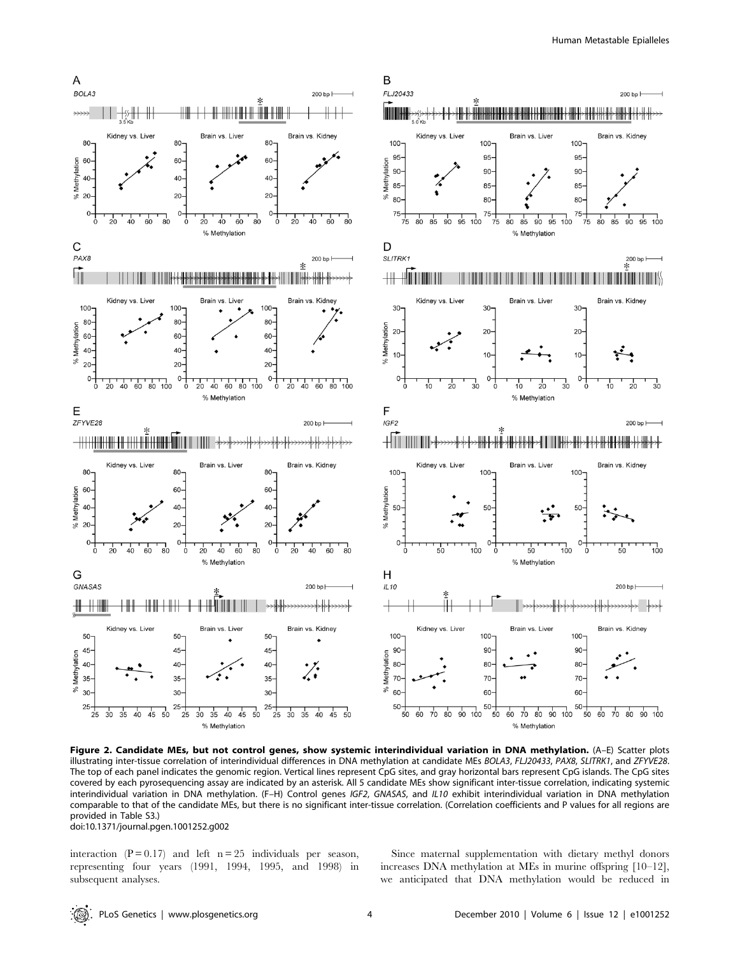

Figure 2. Candidate MEs, but not control genes, show systemic interindividual variation in DNA methylation. (A–E) Scatter plots illustrating inter-tissue correlation of interindividual differences in DNA methylation at candidate MEs BOLA3, FLJ20433, PAX8, SLITRK1, and ZFYVE28. The top of each panel indicates the genomic region. Vertical lines represent CpG sites, and gray horizontal bars represent CpG islands. The CpG sites covered by each pyrosequencing assay are indicated by an asterisk. All 5 candidate MEs show significant inter-tissue correlation, indicating systemic interindividual variation in DNA methylation. (F–H) Control genes IGF2, GNASAS, and IL10 exhibit interindividual variation in DNA methylation comparable to that of the candidate MEs, but there is no significant inter-tissue correlation. (Correlation coefficients and P values for all regions are provided in Table S3.) doi:10.1371/journal.pgen.1001252.g002

interaction ( $P = 0.17$ ) and left  $n = 25$  individuals per season, representing four years (1991, 1994, 1995, and 1998) in subsequent analyses.

Since maternal supplementation with dietary methyl donors increases DNA methylation at MEs in murine offspring [10–12], we anticipated that DNA methylation would be reduced in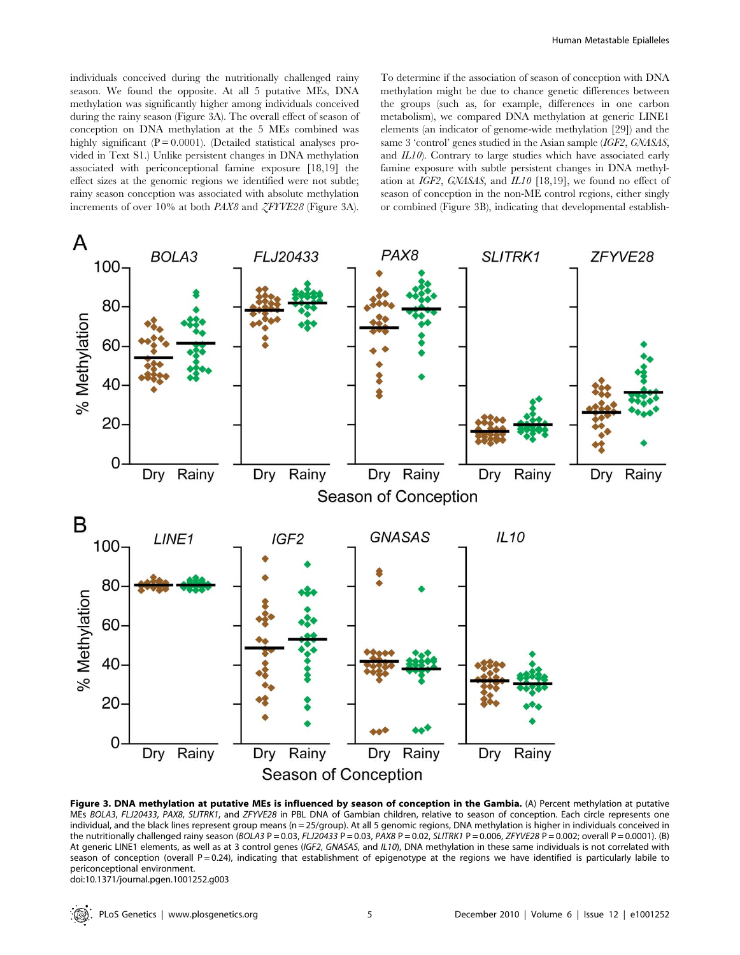individuals conceived during the nutritionally challenged rainy season. We found the opposite. At all 5 putative MEs, DNA methylation was significantly higher among individuals conceived during the rainy season (Figure 3A). The overall effect of season of conception on DNA methylation at the 5 MEs combined was highly significant  $(P = 0.0001)$ . (Detailed statistical analyses provided in Text S1.) Unlike persistent changes in DNA methylation associated with periconceptional famine exposure [18,19] the effect sizes at the genomic regions we identified were not subtle; rainy season conception was associated with absolute methylation increments of over 10% at both PAX8 and ZFYVE28 (Figure 3A). To determine if the association of season of conception with DNA methylation might be due to chance genetic differences between the groups (such as, for example, differences in one carbon metabolism), we compared DNA methylation at generic LINE1 elements (an indicator of genome-wide methylation [29]) and the same 3 'control' genes studied in the Asian sample (IGF2, GNASAS, and  $IL10$ . Contrary to large studies which have associated early famine exposure with subtle persistent changes in DNA methylation at IGF2, GNASAS, and IL10 [18,19], we found no effect of season of conception in the non-ME control regions, either singly or combined (Figure 3B), indicating that developmental establish-



Figure 3. DNA methylation at putative MEs is influenced by season of conception in the Gambia. (A) Percent methylation at putative MEs BOLA3, FLJ20433, PAX8, SLITRK1, and ZFYVE28 in PBL DNA of Gambian children, relative to season of conception. Each circle represents one individual, and the black lines represent group means (n = 25/group). At all 5 genomic regions, DNA methylation is higher in individuals conceived in the nutritionally challenged rainy season (BOLA3 P = 0.03, FLJ20433 P = 0.03, PAX8 P = 0.02, SLITRK1 P = 0.006, ZFYVE28 P = 0.002; overall P = 0.0001). (B) At generic LINE1 elements, as well as at 3 control genes (IGF2, GNASAS, and IL10), DNA methylation in these same individuals is not correlated with season of conception (overall P = 0.24), indicating that establishment of epigenotype at the regions we have identified is particularly labile to periconceptional environment. doi:10.1371/journal.pgen.1001252.g003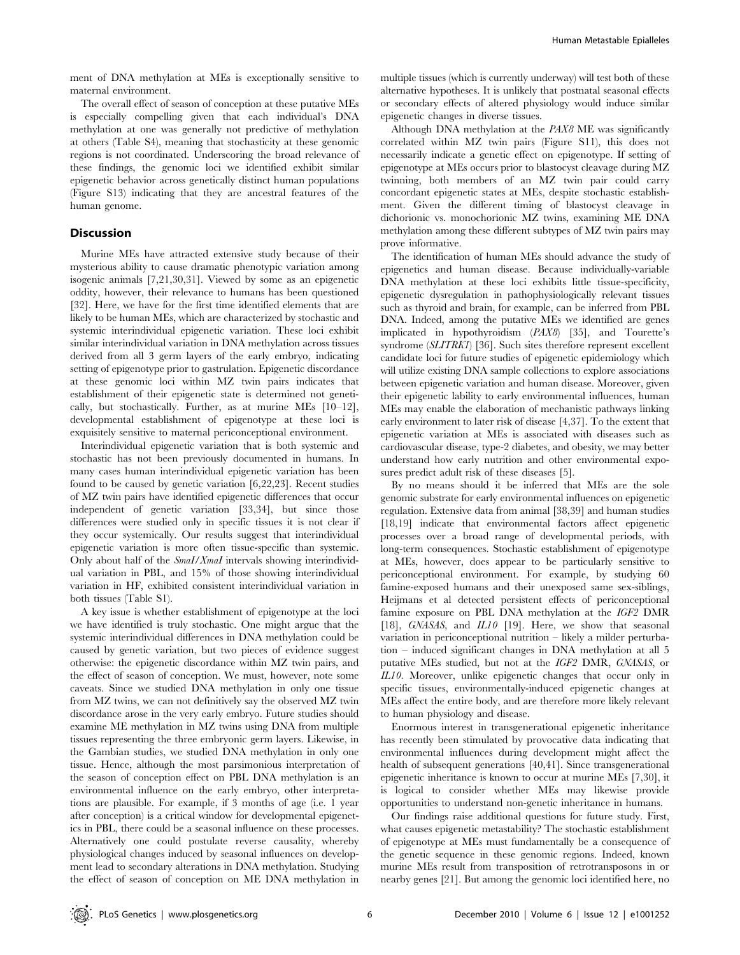ment of DNA methylation at MEs is exceptionally sensitive to maternal environment.

The overall effect of season of conception at these putative MEs is especially compelling given that each individual's DNA methylation at one was generally not predictive of methylation at others (Table S4), meaning that stochasticity at these genomic regions is not coordinated. Underscoring the broad relevance of these findings, the genomic loci we identified exhibit similar epigenetic behavior across genetically distinct human populations (Figure S13) indicating that they are ancestral features of the human genome.

# Discussion

Murine MEs have attracted extensive study because of their mysterious ability to cause dramatic phenotypic variation among isogenic animals [7,21,30,31]. Viewed by some as an epigenetic oddity, however, their relevance to humans has been questioned [32]. Here, we have for the first time identified elements that are likely to be human MEs, which are characterized by stochastic and systemic interindividual epigenetic variation. These loci exhibit similar interindividual variation in DNA methylation across tissues derived from all 3 germ layers of the early embryo, indicating setting of epigenotype prior to gastrulation. Epigenetic discordance at these genomic loci within MZ twin pairs indicates that establishment of their epigenetic state is determined not genetically, but stochastically. Further, as at murine MEs [10–12], developmental establishment of epigenotype at these loci is exquisitely sensitive to maternal periconceptional environment.

Interindividual epigenetic variation that is both systemic and stochastic has not been previously documented in humans. In many cases human interindividual epigenetic variation has been found to be caused by genetic variation [6,22,23]. Recent studies of MZ twin pairs have identified epigenetic differences that occur independent of genetic variation [33,34], but since those differences were studied only in specific tissues it is not clear if they occur systemically. Our results suggest that interindividual epigenetic variation is more often tissue-specific than systemic. Only about half of the SmaI/XmaI intervals showing interindividual variation in PBL, and 15% of those showing interindividual variation in HF, exhibited consistent interindividual variation in both tissues (Table S1).

A key issue is whether establishment of epigenotype at the loci we have identified is truly stochastic. One might argue that the systemic interindividual differences in DNA methylation could be caused by genetic variation, but two pieces of evidence suggest otherwise: the epigenetic discordance within MZ twin pairs, and the effect of season of conception. We must, however, note some caveats. Since we studied DNA methylation in only one tissue from MZ twins, we can not definitively say the observed MZ twin discordance arose in the very early embryo. Future studies should examine ME methylation in MZ twins using DNA from multiple tissues representing the three embryonic germ layers. Likewise, in the Gambian studies, we studied DNA methylation in only one tissue. Hence, although the most parsimonious interpretation of the season of conception effect on PBL DNA methylation is an environmental influence on the early embryo, other interpretations are plausible. For example, if 3 months of age (i.e. 1 year after conception) is a critical window for developmental epigenetics in PBL, there could be a seasonal influence on these processes. Alternatively one could postulate reverse causality, whereby physiological changes induced by seasonal influences on development lead to secondary alterations in DNA methylation. Studying the effect of season of conception on ME DNA methylation in

multiple tissues (which is currently underway) will test both of these alternative hypotheses. It is unlikely that postnatal seasonal effects or secondary effects of altered physiology would induce similar epigenetic changes in diverse tissues.

Although DNA methylation at the PAX8 ME was significantly correlated within MZ twin pairs (Figure S11), this does not necessarily indicate a genetic effect on epigenotype. If setting of epigenotype at MEs occurs prior to blastocyst cleavage during MZ twinning, both members of an MZ twin pair could carry concordant epigenetic states at MEs, despite stochastic establishment. Given the different timing of blastocyst cleavage in dichorionic vs. monochorionic MZ twins, examining ME DNA methylation among these different subtypes of MZ twin pairs may prove informative.

The identification of human MEs should advance the study of epigenetics and human disease. Because individually-variable DNA methylation at these loci exhibits little tissue-specificity, epigenetic dysregulation in pathophysiologically relevant tissues such as thyroid and brain, for example, can be inferred from PBL DNA. Indeed, among the putative MEs we identified are genes implicated in hypothyroidism (PAX8) [35], and Tourette's syndrome (SLITRKI) [36]. Such sites therefore represent excellent candidate loci for future studies of epigenetic epidemiology which will utilize existing DNA sample collections to explore associations between epigenetic variation and human disease. Moreover, given their epigenetic lability to early environmental influences, human MEs may enable the elaboration of mechanistic pathways linking early environment to later risk of disease [4,37]. To the extent that epigenetic variation at MEs is associated with diseases such as cardiovascular disease, type-2 diabetes, and obesity, we may better understand how early nutrition and other environmental exposures predict adult risk of these diseases [5].

By no means should it be inferred that MEs are the sole genomic substrate for early environmental influences on epigenetic regulation. Extensive data from animal [38,39] and human studies [18,19] indicate that environmental factors affect epigenetic processes over a broad range of developmental periods, with long-term consequences. Stochastic establishment of epigenotype at MEs, however, does appear to be particularly sensitive to periconceptional environment. For example, by studying 60 famine-exposed humans and their unexposed same sex-siblings, Heijmans et al detected persistent effects of periconceptional famine exposure on PBL DNA methylation at the IGF2 DMR [18], GNASAS, and IL10 [19]. Here, we show that seasonal variation in periconceptional nutrition – likely a milder perturbation – induced significant changes in DNA methylation at all 5 putative MEs studied, but not at the IGF2 DMR, GNASAS, or IL10. Moreover, unlike epigenetic changes that occur only in specific tissues, environmentally-induced epigenetic changes at MEs affect the entire body, and are therefore more likely relevant to human physiology and disease.

Enormous interest in transgenerational epigenetic inheritance has recently been stimulated by provocative data indicating that environmental influences during development might affect the health of subsequent generations [40,41]. Since transgenerational epigenetic inheritance is known to occur at murine MEs [7,30], it is logical to consider whether MEs may likewise provide opportunities to understand non-genetic inheritance in humans.

Our findings raise additional questions for future study. First, what causes epigenetic metastability? The stochastic establishment of epigenotype at MEs must fundamentally be a consequence of the genetic sequence in these genomic regions. Indeed, known murine MEs result from transposition of retrotransposons in or nearby genes [21]. But among the genomic loci identified here, no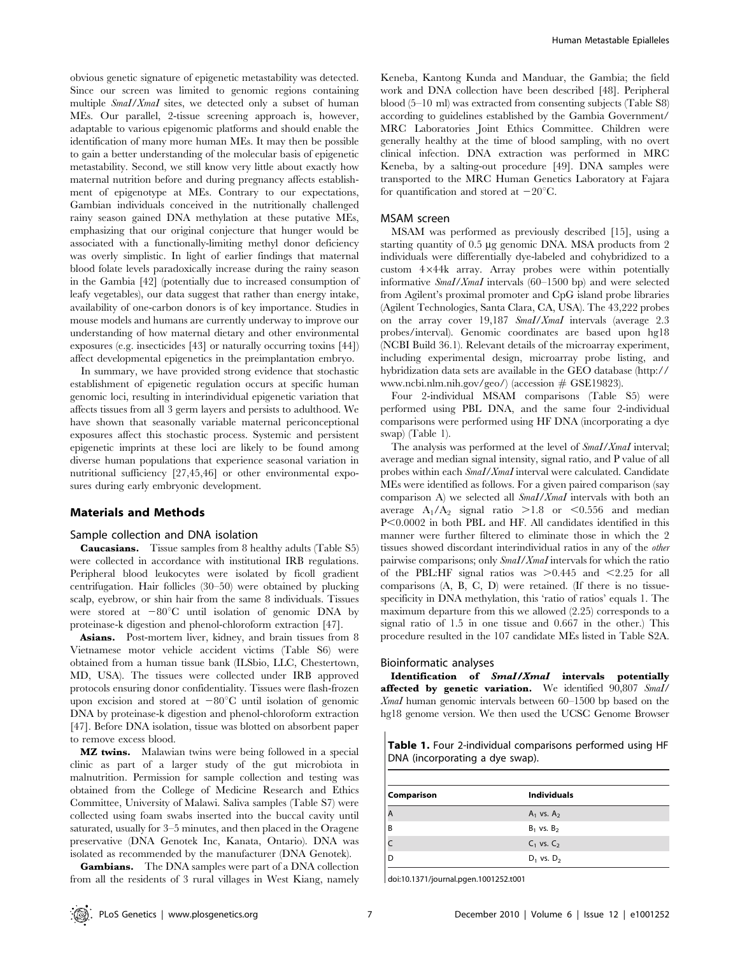obvious genetic signature of epigenetic metastability was detected. Since our screen was limited to genomic regions containing multiple SmaI/XmaI sites, we detected only a subset of human MEs. Our parallel, 2-tissue screening approach is, however, adaptable to various epigenomic platforms and should enable the identification of many more human MEs. It may then be possible to gain a better understanding of the molecular basis of epigenetic metastability. Second, we still know very little about exactly how maternal nutrition before and during pregnancy affects establishment of epigenotype at MEs. Contrary to our expectations, Gambian individuals conceived in the nutritionally challenged rainy season gained DNA methylation at these putative MEs, emphasizing that our original conjecture that hunger would be associated with a functionally-limiting methyl donor deficiency was overly simplistic. In light of earlier findings that maternal blood folate levels paradoxically increase during the rainy season in the Gambia [42] (potentially due to increased consumption of leafy vegetables), our data suggest that rather than energy intake, availability of one-carbon donors is of key importance. Studies in mouse models and humans are currently underway to improve our understanding of how maternal dietary and other environmental exposures (e.g. insecticides [43] or naturally occurring toxins [44]) affect developmental epigenetics in the preimplantation embryo.

In summary, we have provided strong evidence that stochastic establishment of epigenetic regulation occurs at specific human genomic loci, resulting in interindividual epigenetic variation that affects tissues from all 3 germ layers and persists to adulthood. We have shown that seasonally variable maternal periconceptional exposures affect this stochastic process. Systemic and persistent epigenetic imprints at these loci are likely to be found among diverse human populations that experience seasonal variation in nutritional sufficiency [27,45,46] or other environmental exposures during early embryonic development.

# Materials and Methods

#### Sample collection and DNA isolation

Caucasians. Tissue samples from 8 healthy adults (Table S5) were collected in accordance with institutional IRB regulations. Peripheral blood leukocytes were isolated by ficoll gradient centrifugation. Hair follicles (30–50) were obtained by plucking scalp, eyebrow, or shin hair from the same 8 individuals. Tissues were stored at  $-80^{\circ}$ C until isolation of genomic DNA by proteinase-k digestion and phenol-chloroform extraction [47].

Asians. Post-mortem liver, kidney, and brain tissues from 8 Vietnamese motor vehicle accident victims (Table S6) were obtained from a human tissue bank (ILSbio, LLC, Chestertown, MD, USA). The tissues were collected under IRB approved protocols ensuring donor confidentiality. Tissues were flash-frozen upon excision and stored at  $-80^{\circ}$ C until isolation of genomic DNA by proteinase-k digestion and phenol-chloroform extraction [47]. Before DNA isolation, tissue was blotted on absorbent paper to remove excess blood.

MZ twins. Malawian twins were being followed in a special clinic as part of a larger study of the gut microbiota in malnutrition. Permission for sample collection and testing was obtained from the College of Medicine Research and Ethics Committee, University of Malawi. Saliva samples (Table S7) were collected using foam swabs inserted into the buccal cavity until saturated, usually for 3–5 minutes, and then placed in the Oragene preservative (DNA Genotek Inc, Kanata, Ontario). DNA was isolated as recommended by the manufacturer (DNA Genotek).

Gambians. The DNA samples were part of a DNA collection from all the residents of 3 rural villages in West Kiang, namely Keneba, Kantong Kunda and Manduar, the Gambia; the field work and DNA collection have been described [48]. Peripheral blood (5–10 ml) was extracted from consenting subjects (Table S8) according to guidelines established by the Gambia Government/ MRC Laboratories Joint Ethics Committee. Children were generally healthy at the time of blood sampling, with no overt clinical infection. DNA extraction was performed in MRC Keneba, by a salting-out procedure [49]. DNA samples were transported to the MRC Human Genetics Laboratory at Fajara for quantification and stored at  $-20^{\circ}$ C.

#### MSAM screen

MSAM was performed as previously described [15], using a starting quantity of  $0.5 \mu$ g genomic DNA. MSA products from 2 individuals were differentially dye-labeled and cohybridized to a custom  $4\times44k$  array. Array probes were within potentially informative SmaI/XmaI intervals (60–1500 bp) and were selected from Agilent's proximal promoter and CpG island probe libraries (Agilent Technologies, Santa Clara, CA, USA). The 43,222 probes on the array cover 19,187 SmaI/XmaI intervals (average 2.3 probes/interval). Genomic coordinates are based upon hg18 (NCBI Build 36.1). Relevant details of the microarray experiment, including experimental design, microarray probe listing, and hybridization data sets are available in the GEO database (http:// www.ncbi.nlm.nih.gov/geo/) (accession  $\#$  GSE19823).

Four 2-individual MSAM comparisons (Table S5) were performed using PBL DNA, and the same four 2-individual comparisons were performed using HF DNA (incorporating a dye swap) (Table 1).

The analysis was performed at the level of  $Small/Xmal$  interval; average and median signal intensity, signal ratio, and P value of all probes within each SmaI/XmaI interval were calculated. Candidate MEs were identified as follows. For a given paired comparison (say comparison A) we selected all SmaI/XmaI intervals with both an average  $A_1/A_2$  signal ratio >1.8 or <0.556 and median P<0.0002 in both PBL and HF. All candidates identified in this manner were further filtered to eliminate those in which the 2 tissues showed discordant interindividual ratios in any of the other pairwise comparisons; only SmaI/XmaI intervals for which the ratio of the PBL:HF signal ratios was  $>0.445$  and  $<2.25$  for all comparisons (A, B, C, D) were retained. (If there is no tissuespecificity in DNA methylation, this 'ratio of ratios' equals 1. The maximum departure from this we allowed (2.25) corresponds to a signal ratio of 1.5 in one tissue and 0.667 in the other.) This procedure resulted in the 107 candidate MEs listed in Table S2A.

#### Bioinformatic analyses

Identification of SmaI/XmaI intervals potentially affected by genetic variation. We identified 90,807 Smal/ XmaI human genomic intervals between 60–1500 bp based on the hg18 genome version. We then used the UCSC Genome Browser

| <b>Table 1.</b> Four 2-individual comparisons performed using HF |  |
|------------------------------------------------------------------|--|
| DNA (incorporating a dye swap).                                  |  |

| <b>Comparison</b> | <b>Individuals</b> |
|-------------------|--------------------|
| $\frac{A}{B}$     | $A_1$ vs. $A_2$    |
|                   | $B_1$ vs. $B_2$    |
| $\overline{C}$    | $C_1$ vs. $C_2$    |
|                   | $D_1$ vs. $D_2$    |

doi:10.1371/journal.pgen.1001252.t001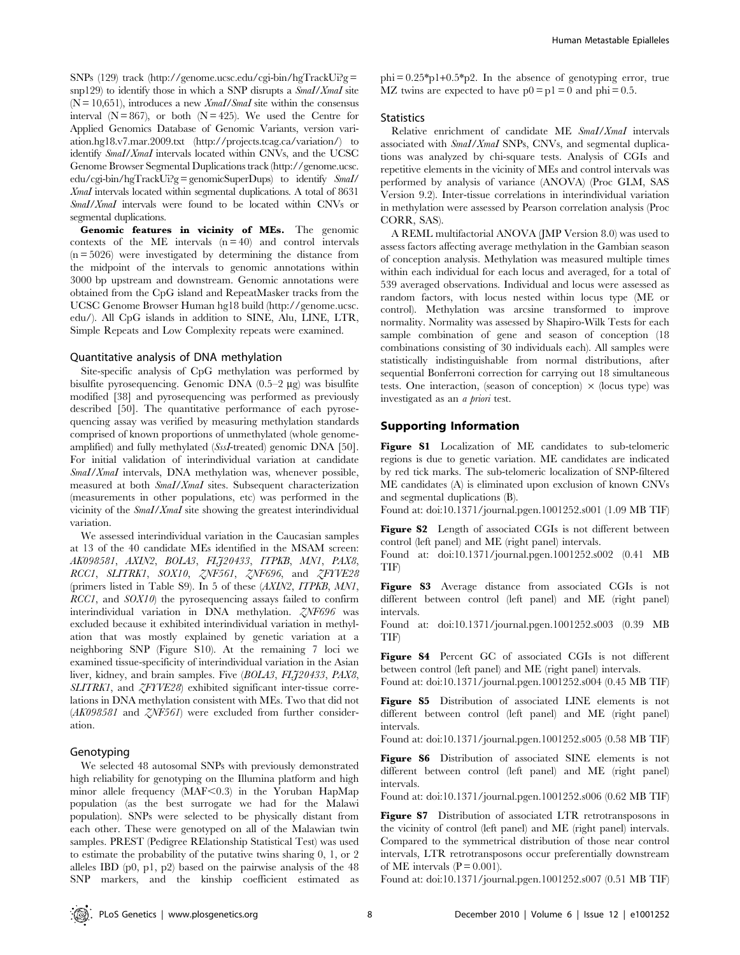SNPs (129) track (http://genome.ucsc.edu/cgi-bin/hgTrackUi?g = snp129) to identify those in which a SNP disrupts a  $Small/Xmal$  site  $(N = 10,651)$ , introduces a new *XmaI/SmaI* site within the consensus interval  $(N = 867)$ , or both  $(N = 425)$ . We used the Centre for Applied Genomics Database of Genomic Variants, version variation.hg18.v7.mar.2009.txt (http://projects.tcag.ca/variation/) to identify SmaI/XmaI intervals located within CNVs, and the UCSC Genome Browser Segmental Duplications track (http://genome.ucsc. edu/cgi-bin/hgTrackUi?g = genomicSuperDups) to identify SmaI/ XmaI intervals located within segmental duplications. A total of 8631 SmaI/XmaI intervals were found to be located within CNVs or segmental duplications.

Genomic features in vicinity of MEs. The genomic contexts of the ME intervals  $(n = 40)$  and control intervals  $(n = 5026)$  were investigated by determining the distance from the midpoint of the intervals to genomic annotations within 3000 bp upstream and downstream. Genomic annotations were obtained from the CpG island and RepeatMasker tracks from the UCSC Genome Browser Human hg18 build (http://genome.ucsc. edu/). All CpG islands in addition to SINE, Alu, LINE, LTR, Simple Repeats and Low Complexity repeats were examined.

#### Quantitative analysis of DNA methylation

Site-specific analysis of CpG methylation was performed by bisulfite pyrosequencing. Genomic DNA  $(0.5-2 \mu g)$  was bisulfite modified [38] and pyrosequencing was performed as previously described [50]. The quantitative performance of each pyrosequencing assay was verified by measuring methylation standards comprised of known proportions of unmethylated (whole genomeamplified) and fully methylated (SssI-treated) genomic DNA [50]. For initial validation of interindividual variation at candidate SmaI/XmaI intervals, DNA methylation was, whenever possible, measured at both SmaI/XmaI sites. Subsequent characterization (measurements in other populations, etc) was performed in the vicinity of the SmaI/XmaI site showing the greatest interindividual variation.

We assessed interindividual variation in the Caucasian samples at 13 of the 40 candidate MEs identified in the MSAM screen: AK098581, AXIN2, BOLA3, FLJ20433, ITPKB, MN1, PAX8, RCC1, SLITRK1, SOX10, ZNF561, ZNF696, and ZFYVE28 (primers listed in Table S9). In 5 of these (AXIN2, ITPKB, MN1, RCC1, and SOX10) the pyrosequencing assays failed to confirm interindividual variation in DNA methylation. ZNF696 was excluded because it exhibited interindividual variation in methylation that was mostly explained by genetic variation at a neighboring SNP (Figure S10). At the remaining 7 loci we examined tissue-specificity of interindividual variation in the Asian liver, kidney, and brain samples. Five (BOLA3, FL720433, PAX8, SLITRK1, and ZFYVE28) exhibited significant inter-tissue correlations in DNA methylation consistent with MEs. Two that did not (AK098581 and ZNF561) were excluded from further consideration.

### Genotyping

We selected 48 autosomal SNPs with previously demonstrated high reliability for genotyping on the Illumina platform and high minor allele frequency  $(MAF<0.3)$  in the Yoruban HapMap population (as the best surrogate we had for the Malawi population). SNPs were selected to be physically distant from each other. These were genotyped on all of the Malawian twin samples. PREST (Pedigree RElationship Statistical Test) was used to estimate the probability of the putative twins sharing 0, 1, or 2 alleles IBD (p0, p1, p2) based on the pairwise analysis of the 48 SNP markers, and the kinship coefficient estimated as

 $phi = 0.25 * p1 + 0.5 * p2$ . In the absence of genotyping error, true MZ twins are expected to have  $p0 = p1 = 0$  and  $phi = 0.5$ .

# **Statistics**

Relative enrichment of candidate ME SmaI/XmaI intervals associated with SmaI/XmaI SNPs, CNVs, and segmental duplications was analyzed by chi-square tests. Analysis of CGIs and repetitive elements in the vicinity of MEs and control intervals was performed by analysis of variance (ANOVA) (Proc GLM, SAS Version 9.2). Inter-tissue correlations in interindividual variation in methylation were assessed by Pearson correlation analysis (Proc CORR, SAS).

A REML multifactorial ANOVA (JMP Version 8.0) was used to assess factors affecting average methylation in the Gambian season of conception analysis. Methylation was measured multiple times within each individual for each locus and averaged, for a total of 539 averaged observations. Individual and locus were assessed as random factors, with locus nested within locus type (ME or control). Methylation was arcsine transformed to improve normality. Normality was assessed by Shapiro-Wilk Tests for each sample combination of gene and season of conception (18 combinations consisting of 30 individuals each). All samples were statistically indistinguishable from normal distributions, after sequential Bonferroni correction for carrying out 18 simultaneous tests. One interaction, (season of conception)  $\times$  (locus type) was investigated as an a priori test.

# Supporting Information

Figure S1 Localization of ME candidates to sub-telomeric regions is due to genetic variation. ME candidates are indicated by red tick marks. The sub-telomeric localization of SNP-filtered ME candidates (A) is eliminated upon exclusion of known CNVs and segmental duplications (B).

Found at: doi:10.1371/journal.pgen.1001252.s001 (1.09 MB TIF)

Figure S2 Length of associated CGIs is not different between control (left panel) and ME (right panel) intervals.

Found at: doi:10.1371/journal.pgen.1001252.s002 (0.41 MB TIF)

Figure S3 Average distance from associated CGIs is not different between control (left panel) and ME (right panel) intervals.

Found at: doi:10.1371/journal.pgen.1001252.s003 (0.39 MB TIF)

Figure S4 Percent GC of associated CGIs is not different between control (left panel) and ME (right panel) intervals.

Found at: doi:10.1371/journal.pgen.1001252.s004 (0.45 MB TIF)

Figure S5 Distribution of associated LINE elements is not different between control (left panel) and ME (right panel) intervals.

Found at: doi:10.1371/journal.pgen.1001252.s005 (0.58 MB TIF)

Figure S6 Distribution of associated SINE elements is not different between control (left panel) and ME (right panel) intervals.

Found at: doi:10.1371/journal.pgen.1001252.s006 (0.62 MB TIF)

Figure S7 Distribution of associated LTR retrotransposons in the vicinity of control (left panel) and ME (right panel) intervals. Compared to the symmetrical distribution of those near control intervals, LTR retrotransposons occur preferentially downstream of ME intervals  $(P = 0.001)$ .

Found at: doi:10.1371/journal.pgen.1001252.s007 (0.51 MB TIF)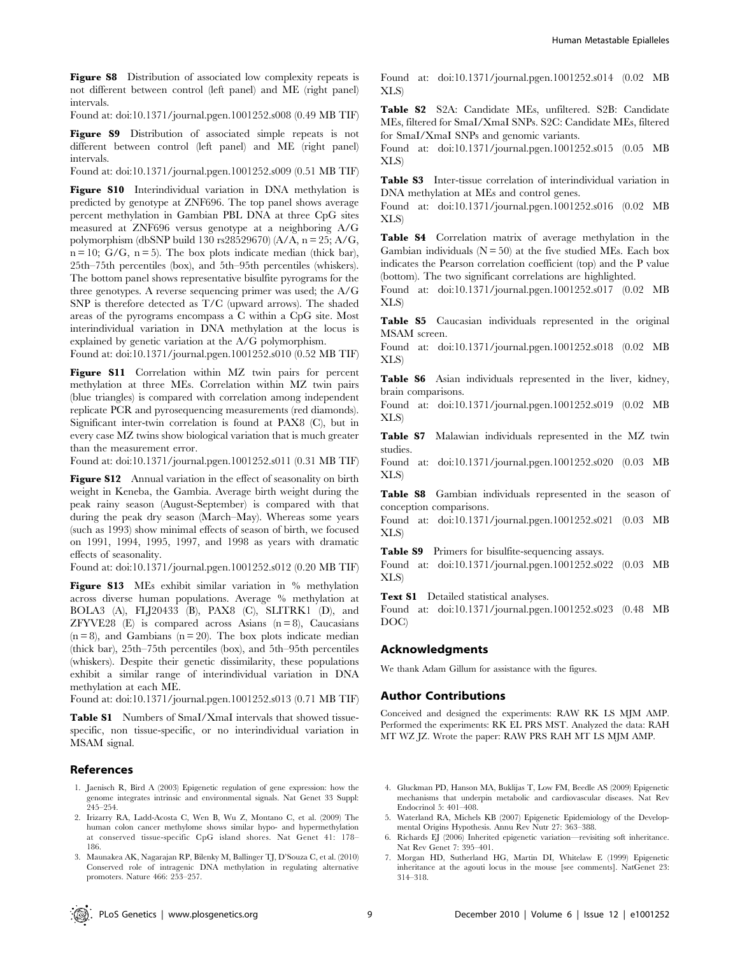Figure S8 Distribution of associated low complexity repeats is not different between control (left panel) and ME (right panel) intervals.

Found at: doi:10.1371/journal.pgen.1001252.s008 (0.49 MB TIF)

Figure S9 Distribution of associated simple repeats is not different between control (left panel) and ME (right panel) intervals.

Found at: doi:10.1371/journal.pgen.1001252.s009 (0.51 MB TIF)

Figure S10 Interindividual variation in DNA methylation is predicted by genotype at ZNF696. The top panel shows average percent methylation in Gambian PBL DNA at three CpG sites measured at ZNF696 versus genotype at a neighboring A/G polymorphism (dbSNP build 130 rs28529670) (A/A,  $n = 25$ ; A/G,  $n = 10$ ; G/G,  $n = 5$ ). The box plots indicate median (thick bar), 25th–75th percentiles (box), and 5th–95th percentiles (whiskers). The bottom panel shows representative bisulfite pyrograms for the three genotypes. A reverse sequencing primer was used; the A/G SNP is therefore detected as T/C (upward arrows). The shaded areas of the pyrograms encompass a C within a CpG site. Most interindividual variation in DNA methylation at the locus is explained by genetic variation at the A/G polymorphism.

Found at: doi:10.1371/journal.pgen.1001252.s010 (0.52 MB TIF)

Figure S11 Correlation within MZ twin pairs for percent methylation at three MEs. Correlation within MZ twin pairs (blue triangles) is compared with correlation among independent replicate PCR and pyrosequencing measurements (red diamonds). Significant inter-twin correlation is found at PAX8 (C), but in every case MZ twins show biological variation that is much greater than the measurement error.

Found at: doi:10.1371/journal.pgen.1001252.s011 (0.31 MB TIF)

Figure S12 Annual variation in the effect of seasonality on birth weight in Keneba, the Gambia. Average birth weight during the peak rainy season (August-September) is compared with that during the peak dry season (March–May). Whereas some years (such as 1993) show minimal effects of season of birth, we focused on 1991, 1994, 1995, 1997, and 1998 as years with dramatic effects of seasonality.

Found at: doi:10.1371/journal.pgen.1001252.s012 (0.20 MB TIF)

Figure S13 MEs exhibit similar variation in % methylation across diverse human populations. Average % methylation at BOLA3 (A), FLJ20433 (B), PAX8 (C), SLITRK1 (D), and ZFYVE28  $(E)$  is compared across Asians  $(n = 8)$ , Caucasians  $(n = 8)$ , and Gambians  $(n = 20)$ . The box plots indicate median (thick bar), 25th–75th percentiles (box), and 5th–95th percentiles (whiskers). Despite their genetic dissimilarity, these populations exhibit a similar range of interindividual variation in DNA methylation at each ME.

Found at: doi:10.1371/journal.pgen.1001252.s013 (0.71 MB TIF)

Table S1 Numbers of SmaI/XmaI intervals that showed tissuespecific, non tissue-specific, or no interindividual variation in MSAM signal.

#### References

- 1. Jaenisch R, Bird A (2003) Epigenetic regulation of gene expression: how the genome integrates intrinsic and environmental signals. Nat Genet 33 Suppl: 245–254.
- 2. Irizarry RA, Ladd-Acosta C, Wen B, Wu Z, Montano C, et al. (2009) The human colon cancer methylome shows similar hypo- and hypermethylation at conserved tissue-specific CpG island shores. Nat Genet 41: 178– 186.
- 3. Maunakea AK, Nagarajan RP, Bilenky M, Ballinger TJ, D'Souza C, et al. (2010) Conserved role of intragenic DNA methylation in regulating alternative promoters. Nature 466: 253–257.

Found at: doi:10.1371/journal.pgen.1001252.s014 (0.02 MB XLS)

Table S2 S2A: Candidate MEs, unfiltered. S2B: Candidate MEs, filtered for SmaI/XmaI SNPs. S2C: Candidate MEs, filtered for SmaI/XmaI SNPs and genomic variants.

Found at: doi:10.1371/journal.pgen.1001252.s015 (0.05 MB XLS)

Table S3 Inter-tissue correlation of interindividual variation in DNA methylation at MEs and control genes.

Found at: doi:10.1371/journal.pgen.1001252.s016 (0.02 MB XLS)

Table S4 Correlation matrix of average methylation in the Gambian individuals ( $N = 50$ ) at the five studied MEs. Each box indicates the Pearson correlation coefficient (top) and the P value (bottom). The two significant correlations are highlighted.

Found at: doi:10.1371/journal.pgen.1001252.s017 (0.02 MB XLS)

Table S5 Caucasian individuals represented in the original MSAM screen.

Found at: doi:10.1371/journal.pgen.1001252.s018 (0.02 MB XLS)

Table S6 Asian individuals represented in the liver, kidney, brain comparisons.

Found at: doi:10.1371/journal.pgen.1001252.s019 (0.02 MB XLS)

Table S7 Malawian individuals represented in the MZ twin studies.

Found at: doi:10.1371/journal.pgen.1001252.s020 (0.03 MB XLS)

Table S8 Gambian individuals represented in the season of conception comparisons.

Found at: doi:10.1371/journal.pgen.1001252.s021 (0.03 MB XLS)

Table S9 Primers for bisulfite-sequencing assays.

Found at: doi:10.1371/journal.pgen.1001252.s022 (0.03 MB XLS)

Text S1 Detailed statistical analyses.

Found at: doi:10.1371/journal.pgen.1001252.s023 (0.48 MB DOC)

#### Acknowledgments

We thank Adam Gillum for assistance with the figures.

#### Author Contributions

Conceived and designed the experiments: RAW RK LS MJM AMP. Performed the experiments: RK EL PRS MST. Analyzed the data: RAH MT WZ JZ. Wrote the paper: RAW PRS RAH MT LS MJM AMP.

- 4. Gluckman PD, Hanson MA, Buklijas T, Low FM, Beedle AS (2009) Epigenetic mechanisms that underpin metabolic and cardiovascular diseases. Nat Rev Endocrinol 5: 401–408.
- 5. Waterland RA, Michels KB (2007) Epigenetic Epidemiology of the Developmental Origins Hypothesis. Annu Rev Nutr 27: 363–388.
- 6. Richards EJ (2006) Inherited epigenetic variation—revisiting soft inheritance. Nat Rev Genet 7: 395–401.
- 7. Morgan HD, Sutherland HG, Martin DI, Whitelaw E (1999) Epigenetic inheritance at the agouti locus in the mouse [see comments]. NatGenet 23: 314–318.